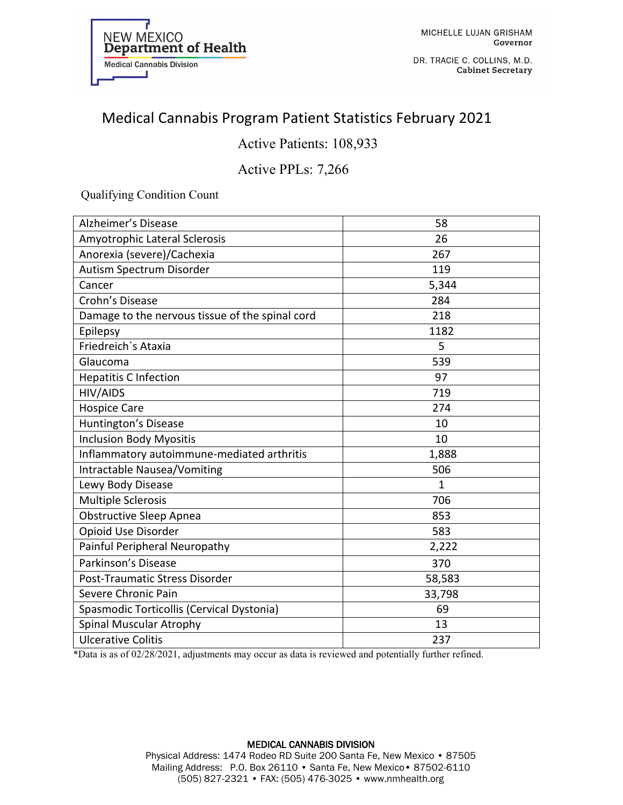

DR. TRACIE C. COLLINS, M.D. **Cabinet Secretary** 

# Medical Cannabis Program Patient Statistics February 2021

### Active Patients: 108,933

### Active PPLs: 7,266

Qualifying Condition Count

| <b>Alzheimer's Disease</b>                      | 58           |
|-------------------------------------------------|--------------|
| Amyotrophic Lateral Sclerosis                   | 26           |
| Anorexia (severe)/Cachexia                      | 267          |
| Autism Spectrum Disorder                        | 119          |
| Cancer                                          | 5,344        |
| Crohn's Disease                                 | 284          |
| Damage to the nervous tissue of the spinal cord | 218          |
| Epilepsy                                        | 1182         |
| Friedreich's Ataxia                             | 5            |
| Glaucoma                                        | 539          |
| <b>Hepatitis C Infection</b>                    | 97           |
| <b>HIV/AIDS</b>                                 | 719          |
| <b>Hospice Care</b>                             | 274          |
| Huntington's Disease                            | 10           |
| <b>Inclusion Body Myositis</b>                  | 10           |
| Inflammatory autoimmune-mediated arthritis      | 1,888        |
| <b>Intractable Nausea/Vomiting</b>              | 506          |
| Lewy Body Disease                               | $\mathbf{1}$ |
| <b>Multiple Sclerosis</b>                       | 706          |
| Obstructive Sleep Apnea                         | 853          |
| Opioid Use Disorder                             | 583          |
| Painful Peripheral Neuropathy                   | 2,222        |
| Parkinson's Disease                             | 370          |
| Post-Traumatic Stress Disorder                  | 58,583       |
| Severe Chronic Pain                             | 33,798       |
| Spasmodic Torticollis (Cervical Dystonia)       | 69           |
| Spinal Muscular Atrophy                         | 13           |
| <b>Ulcerative Colitis</b>                       | 237          |

\*Data is as of 02/28/2021, adjustments may occur as data is reviewed and potentially further refined.

#### MEDICAL CANNABIS DIVISION Physical Address: 1474 Rodeo RD Suite 200 Santa Fe, New Mexico • 87505 Mailing Address: P.O. Box 26110 • Santa Fe, New Mexico• 87502-6110 (505) 827-2321 • FAX: (505) 476-3025 • www.nmhealth.org